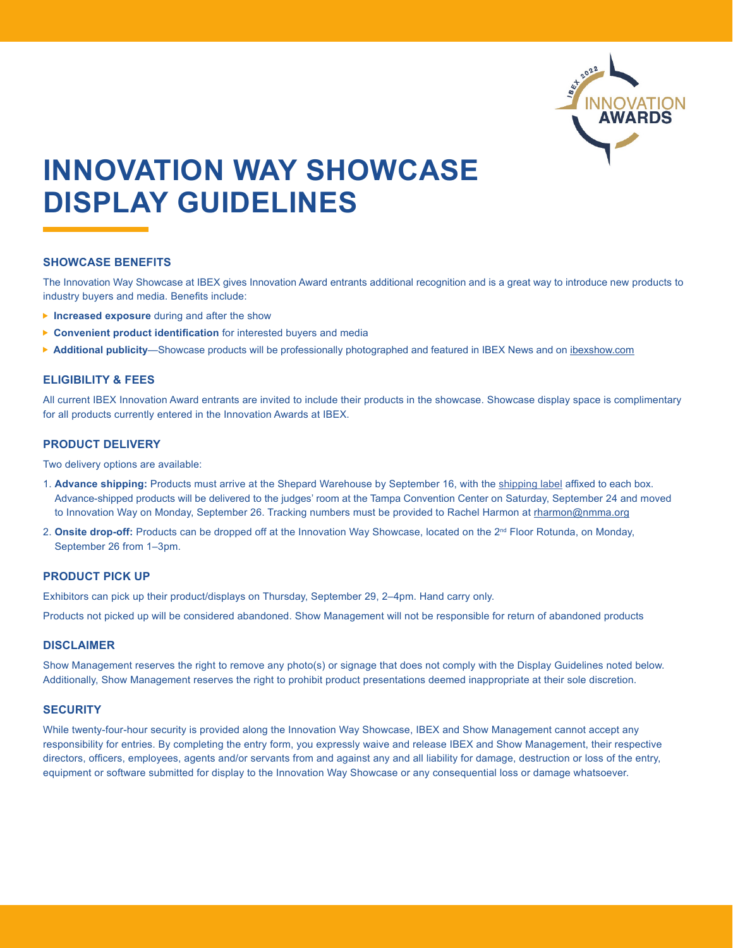

# **INNOVATION WAY SHOWCASE DISPLAY GUIDELINES**

## **SHOWCASE BENEFITS**

The Innovation Way Showcase at IBEX gives Innovation Award entrants additional recognition and is a great way to introduce new products to industry buyers and media. Benefits include:

- **Increased exposure** during and after the show
- **Convenient product identification** for interested buyers and media
- ▶ Additional publicity—Showcase products will be professionally photographed and featured in IBEX News and on [ibexshow.com](https://www.ibexshow.com/)

## **ELIGIBILITY & FEES**

All current IBEX Innovation Award entrants are invited to include their products in the showcase. Showcase display space is complimentary for all products currently entered in the Innovation Awards at IBEX.

## **PRODUCT DELIVERY**

Two delivery options are available:

- 1. **Advance shipping:** Products must arrive at the Shepard Warehouse by September 16, with the [shipping label](https://www.ibexshow.com/wp-content/uploads/2022/04/SHIPPING-LABEL-INNOVATION-AWARDS.pdf) affixed to each box. Advance-shipped products will be delivered to the judges' room at the Tampa Convention Center on Saturday, September 24 and moved to Innovation Way on Monday, September 26. Tracking numbers must be provided to Rachel Harmon at [rharmon@nmma.org](mailto:rharmon%40nmma.org?subject=Innovation%20Way%20Showcase)
- 2. Onsite drop-off: Products can be dropped off at the Innovation Way Showcase, located on the 2<sup>nd</sup> Floor Rotunda, on Monday, September 26 from 1–3pm.

# **PRODUCT PICK UP**

Exhibitors can pick up their product/displays on Thursday, September 29, 2–4pm. Hand carry only.

Products not picked up will be considered abandoned. Show Management will not be responsible for return of abandoned products

## **DISCLAIMER**

Show Management reserves the right to remove any photo(s) or signage that does not comply with the Display Guidelines noted below. Additionally, Show Management reserves the right to prohibit product presentations deemed inappropriate at their sole discretion.

# **SECURITY**

While twenty-four-hour security is provided along the Innovation Way Showcase, IBEX and Show Management cannot accept any responsibility for entries. By completing the entry form, you expressly waive and release IBEX and Show Management, their respective directors, officers, employees, agents and/or servants from and against any and all liability for damage, destruction or loss of the entry, equipment or software submitted for display to the Innovation Way Showcase or any consequential loss or damage whatsoever.